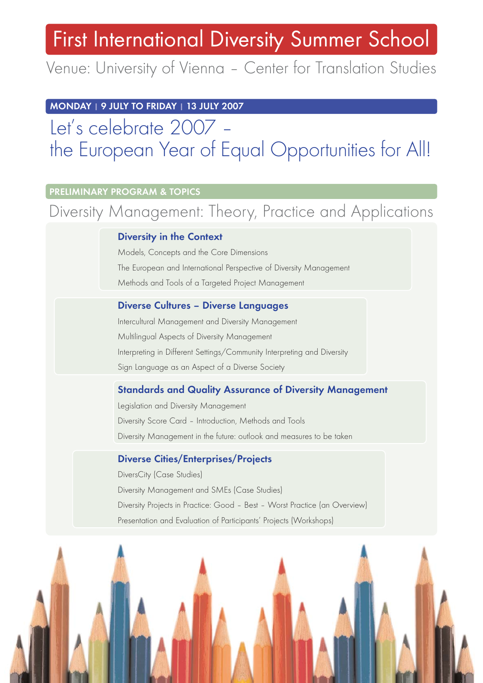# First International Diversity Summer School

Venue: University of Vienna – Center for Translation Studies

**MONDAY | 9 JULY TO FRIDAY | 13 JULY 2007**

## Let's celebrate 2007 – the European Year of Equal Opportunities for All!

#### **PRELIMINARY PROGRAM & TOPICS**

### Diversity Management: Theory, Practice and Applications

#### **Diversity in the Context**

Models, Concepts and the Core Dimensions The European and International Perspective of Diversity Management Methods and Tools of a Targeted Project Management

#### **Diverse Cultures – Diverse Languages**

Intercultural Management and Diversity Management Multilingual Aspects of Diversity Management Interpreting in Different Settings/Community Interpreting and Diversity Sign Language as an Aspect of a Diverse Society

#### **Standards and Quality Assurance of Diversity Management**

Legislation and Diversity Management Diversity Score Card – Introduction, Methods and Tools Diversity Management in the future: outlook and measures to be taken

#### **Diverse Cities/Enterprises/Projects**

DiversCity (Case Studies) Diversity Management and SMEs (Case Studies) Diversity Projects in Practice: Good – Best – Worst Practice (an Overview) Presentation and Evaluation of Participants' Projects (Workshops)